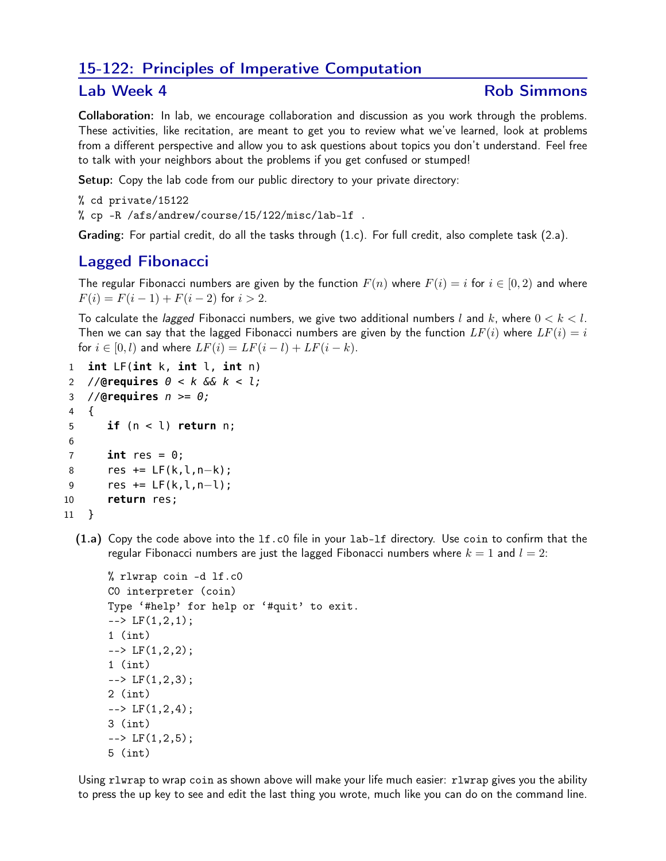# 15-122: Principles of Imperative Computation

### Lab Week 4 **Rob Simmons**

Collaboration: In lab, we encourage collaboration and discussion as you work through the problems. These activities, like recitation, are meant to get you to review what we've learned, look at problems from a different perspective and allow you to ask questions about topics you don't understand. Feel free to talk with your neighbors about the problems if you get confused or stumped!

Setup: Copy the lab code from our public directory to your private directory:

% cd private/15122 % cp -R /afs/andrew/course/15/122/misc/lab-lf .

Grading: For partial credit, do all the tasks through (1.c). For full credit, also complete task (2.a).

## Lagged Fibonacci

The regular Fibonacci numbers are given by the function  $F(n)$  where  $F(i) = i$  for  $i \in [0, 2)$  and where  $F(i) = F(i-1) + F(i-2)$  for  $i > 2$ .

To calculate the *lagged* Fibonacci numbers, we give two additional numbers l and k, where  $0 < k < l$ . Then we can say that the lagged Fibonacci numbers are given by the function  $LF(i)$  where  $LF(i) = i$ for  $i \in [0, l)$  and where  $LF(i) = LF(i - l) + LF(i - k)$ .

```
1 int LF(int k, int l, int n)
2 //@requires 0 < k && k < l;
3 //@requires n >= 0;
4 {
5 if (n < l) return n;
6
7 int res = 0;
8 res += LF(k,l,n−k);
9 res += LF(k,l,n−l);
10 return res;
11 }
```
(1.a) Copy the code above into the lf.c0 file in your lab-lf directory. Use coin to confirm that the regular Fibonacci numbers are just the lagged Fibonacci numbers where  $k = 1$  and  $l = 2$ :

```
% rlwrap coin -d lf.c0
C0 interpreter (coin)
Type '#help' for help or '#quit' to exit.
\leftarrow \leftarrow LF(1,2,1);
1 (int)
\leftarrow \leftarrow LF(1, 2, 2);
1 (int)
\leftarrow \leftarrow LF(1, 2, 3);
2 (int)
\leftarrow \leftarrow LF(1, 2, 4);
3 (int)
\leftarrow \leftarrow LF(1, 2, 5);
5 (int)
```
Using rlwrap to wrap coin as shown above will make your life much easier: rlwrap gives you the ability to press the up key to see and edit the last thing you wrote, much like you can do on the command line.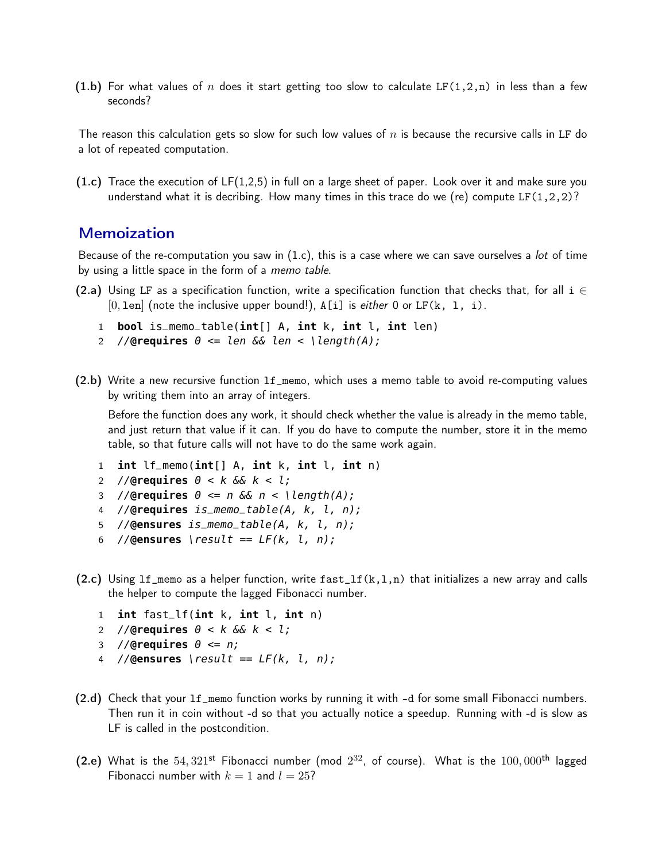(1.b) For what values of n does it start getting too slow to calculate LF(1,2,n) in less than a few seconds?

The reason this calculation gets so slow for such low values of  $n$  is because the recursive calls in LF do a lot of repeated computation.

 $(1.c)$  Trace the execution of LF $(1,2,5)$  in full on a large sheet of paper. Look over it and make sure you understand what it is decribing. How many times in this trace do we (re) compute LF(1,2,2)?

## **Memoization**

Because of the re-computation you saw in  $(1.c)$ , this is a case where we can save ourselves a lot of time by using a little space in the form of a memo table.

- (2.a) Using LF as a specification function, write a specification function that checks that, for all  $i \in$  $[0, \text{len}]$  (note the inclusive upper bound!), A[i] is *either* 0 or LF(k, 1, i).
	- 1 **bool** is\_memo\_table(int[] A, int k, int l, int len)
	- 2 // $Q$ **requires**  $\theta \leq \theta$  *len*  $\delta \&$  *len*  $\leq \theta$  *length(A);*
- (2.b) Write a new recursive function lf\_memo, which uses a memo table to avoid re-computing values by writing them into an array of integers.

Before the function does any work, it should check whether the value is already in the memo table, and just return that value if it can. If you do have to compute the number, store it in the memo table, so that future calls will not have to do the same work again.

- 1 **int** lf\_memo(**int**[] A, **int** k, **int** l, **int** n)
- 2 //**@requires** 0 < k && k < l;
- 3 //**@requires**  $\theta \le n$  &  $n \le \text{length}(A)$ ;
- 4 //**@requires** is\_memo\_table(A, k, l, n);
- 5 //**@ensures** is\_memo\_table(A, k, l, n);
- 6 // $Q$ ensures \result ==  $LF(k, l, n);$
- (2.c) Using  $lf\_memo$  as a helper function, write  $fast\_lf(k,1,n)$  that initializes a new array and calls the helper to compute the lagged Fibonacci number.
	- 1 **int** fast\_lf(**int** k, **int** l, **int** n)
	- 2 //**@requires** 0 < k && k < l;
	- 3 //**@requires** 0 <= n;
	- 4 //**@ensures** \result == LF(k, l, n);
- (2.d) Check that your lf\_memo function works by running it with -d for some small Fibonacci numbers. Then run it in coin without -d so that you actually notice a speedup. Running with -d is slow as LF is called in the postcondition.
- (2.e) What is the  $54,321$ <sup>st</sup> Fibonacci number (mod  $2^{32}$ , of course). What is the  $100,000$ <sup>th</sup> lagged Fibonacci number with  $k = 1$  and  $l = 25$ ?